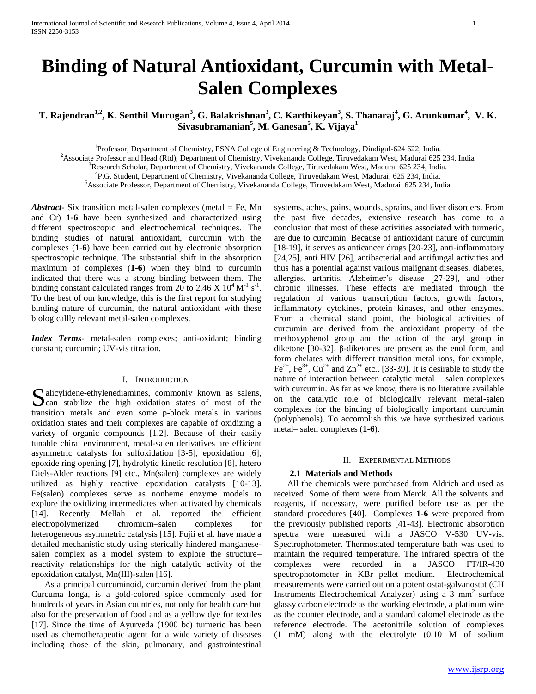# **Binding of Natural Antioxidant, Curcumin with Metal-Salen Complexes**

**T. Rajendran1,2, K. Senthil Murugan<sup>3</sup> , G. Balakrishnan<sup>3</sup> , C. Karthikeyan<sup>3</sup> , S. Thanaraj<sup>4</sup> , G. Arunkumar<sup>4</sup> , V. K. Sivasubramanian<sup>5</sup> , M. Ganesan<sup>5</sup> , K. Vijaya<sup>1</sup>**

<sup>1</sup>Professor, Department of Chemistry, PSNA College of Engineering & Technology, Dindigul-624 622, India.

<sup>2</sup>Associate Professor and Head (Rtd), Department of Chemistry, Vivekananda College, Tiruvedakam West, Madurai 625 234, India

<sup>3</sup>Research Scholar, Department of Chemistry, Vivekananda College, Tiruvedakam West, Madurai 625 234, India.

4 P.G. Student, Department of Chemistry, Vivekananda College, Tiruvedakam West, Madurai, 625 234, India.

<sup>5</sup>Associate Professor, Department of Chemistry, Vivekananda College, Tiruvedakam West, Madurai 625 234, India

*Abstract***-** Six transition metal-salen complexes (metal = Fe, Mn and Cr) **1-6** have been synthesized and characterized using different spectroscopic and electrochemical techniques. The binding studies of natural antioxidant, curcumin with the complexes (**1-6**) have been carried out by electronic absorption spectroscopic technique. The substantial shift in the absorption maximum of complexes (**1-6**) when they bind to curcumin indicated that there was a strong binding between them. The binding constant calculated ranges from 20 to 2.46 X  $10^4$  M<sup>-1</sup> s<sup>-1</sup>. To the best of our knowledge, this is the first report for studying binding nature of curcumin, the natural antioxidant with these biologicallly relevant metal-salen complexes.

*Index Terms*- metal-salen complexes; anti-oxidant; binding constant; curcumin; UV-vis titration.

## I. INTRODUCTION

alicylidene-ethylenediamines, commonly known as salens, Salicylidene-ethylenediamines, commonly known as salens, can stabilize the high oxidation states of most of the transition metals and even some p-block metals in various oxidation states and their complexes are capable of oxidizing a variety of organic compounds [1,2]. Because of their easily tunable chiral environment, metal-salen derivatives are efficient asymmetric catalysts for sulfoxidation [3-5], epoxidation [6], epoxide ring opening [7], hydrolytic kinetic resolution [8], hetero Diels-Alder reactions [9] etc., Mn(salen) complexes are widely utilized as highly reactive epoxidation catalysts [10-13]. Fe(salen) complexes serve as nonheme enzyme models to explore the oxidizing intermediates when activated by chemicals [14]. Recently Mellah et al. reported the efficient electropolymerized chromium–salen complexes for heterogeneous asymmetric catalysis [15]. Fujii et al. have made a detailed mechanistic study using sterically hindered manganesesalen complex as a model system to explore the structure– reactivity relationships for the high catalytic activity of the epoxidation catalyst, Mn(III)-salen [16].

 As a principal curcuminoid, curcumin derived from the plant Curcuma longa, is a gold-colored spice commonly used for hundreds of years in Asian countries, not only for health care but also for the preservation of food and as a yellow dye for textiles [17]. Since the time of Ayurveda (1900 bc) turmeric has been used as chemotherapeutic agent for a wide variety of diseases including those of the skin, pulmonary, and gastrointestinal

systems, aches, pains, wounds, sprains, and liver disorders. From the past five decades, extensive research has come to a conclusion that most of these activities associated with turmeric, are due to curcumin. Because of antioxidant nature of curcumin [18-19], it serves as anticancer drugs [20-23], anti-inflammatory [24,25], anti HIV [26], antibacterial and antifungal activities and thus has a potential against various malignant diseases, diabetes, allergies, arthritis, Alzheimer's disease [27-29], and other chronic illnesses. These effects are mediated through the regulation of various transcription factors, growth factors, inflammatory cytokines, protein kinases, and other enzymes. From a chemical stand point, the biological activities of curcumin are derived from the antioxidant property of the methoxyphenol group and the action of the aryl group in diketone [30-32]. β-diketones are present as the enol form, and form chelates with different transition metal ions, for example, Fe<sup>2+</sup>, Fe<sup>3+</sup>, Cu<sup>2+</sup> and Zn<sup>2+</sup> etc., [33-39]. It is desirable to study the nature of interaction between catalytic metal – salen complexes with curcumin. As far as we know, there is no literature available on the catalytic role of biologically relevant metal-salen complexes for the binding of biologically important curcumin (polyphenols). To accomplish this we have synthesized various metal– salen complexes (**1-6**).

#### II. EXPERIMENTAL METHODS

#### **2.1 Materials and Methods**

 All the chemicals were purchased from Aldrich and used as received. Some of them were from Merck. All the solvents and reagents, if necessary, were purified before use as per the standard procedures [40]. Complexes **1-6** were prepared from the previously published reports [41-43]. Electronic absorption spectra were measured with a JASCO V-530 UV-vis. Spectrophotometer. Thermostated temperature bath was used to maintain the required temperature. The infrared spectra of the complexes were recorded in a JASCO FT/IR-430 spectrophotometer in KBr pellet medium. Electrochemical measurements were carried out on a potentiostat-galvanostat (CH Instruments Electrochemical Analyzer) using a  $3 \text{ mm}^2$  surface glassy carbon electrode as the working electrode, a platinum wire as the counter electrode, and a standard calomel electrode as the reference electrode. The acetonitrile solution of complexes (1 mM) along with the electrolyte (0.10 M of sodium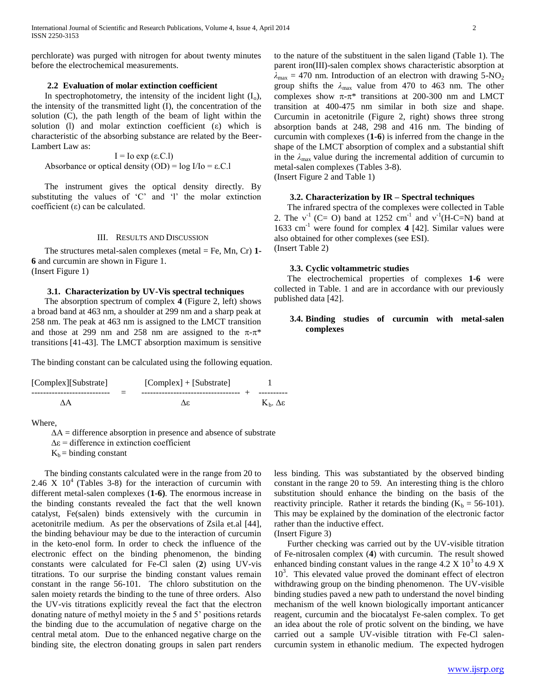perchlorate) was purged with nitrogen for about twenty minutes before the electrochemical measurements.

# **2.2 Evaluation of molar extinction coefficient**

In spectrophotometry, the intensity of the incident light  $(I_0)$ , the intensity of the transmitted light (I), the concentration of the solution (C), the path length of the beam of light within the solution (l) and molar extinction coefficient (ε) which is characteristic of the absorbing substance are related by the Beer-Lambert Law as:

I = Io exp (ε.C.l) Absorbance or optical density  $(OD) = log I/Io = \epsilon.C.1$ 

 The instrument gives the optical density directly. By substituting the values of 'C' and 'l' the molar extinction coefficient (ε) can be calculated.

#### III. RESULTS AND DISCUSSION

 The structures metal-salen complexes (metal = Fe, Mn, Cr) **1- 6** and curcumin are shown in Figure 1. (Insert Figure 1)

## **3.1. Characterization by UV-Vis spectral techniques**

 The absorption spectrum of complex **4** (Figure 2, left) shows a broad band at 463 nm, a shoulder at 299 nm and a sharp peak at 258 nm. The peak at 463 nm is assigned to the LMCT transition and those at 299 nm and 258 nm are assigned to the  $\pi$ - $\pi$ <sup>\*</sup> transitions [41-43]. The LMCT absorption maximum is sensitive

The binding constant can be calculated using the following equation.

| [Complex][Substrate] | $[Complex] + [Substrate]$           |                                |
|----------------------|-------------------------------------|--------------------------------|
|                      | ----------------------------------- |                                |
| ΛА                   | Λε                                  | $K_{h}$ . $\Delta \varepsilon$ |

## Where,

 $\Delta A$  = difference absorption in presence and absence of substrate

 $Δε =$  difference in extinction coefficient

 $K_b$  = binding constant

 The binding constants calculated were in the range from 20 to 2.46 X  $10^4$  (Tables 3-8) for the interaction of curcumin with different metal-salen complexes (**1-6)**. The enormous increase in the binding constants revealed the fact that the well known catalyst, Fe(salen) binds extensively with the curcumin in acetonitrile medium. As per the observations of Zsila et.al [44], the binding behaviour may be due to the interaction of curcumin in the keto-enol form. In order to check the influence of the electronic effect on the binding phenomenon, the binding constants were calculated for Fe-Cl salen (**2**) using UV-vis titrations. To our surprise the binding constant values remain constant in the range 56-101. The chloro substitution on the salen moiety retards the binding to the tune of three orders. Also the UV-vis titrations explicitly reveal the fact that the electron donating nature of methyl moiety in the 5 and 5' positions retards the binding due to the accumulation of negative charge on the central metal atom. Due to the enhanced negative charge on the binding site, the electron donating groups in salen part renders

to the nature of the substituent in the salen ligand (Table 1). The parent iron(III)-salen complex shows characteristic absorption at  $\lambda_{\text{max}} = 470$  nm. Introduction of an electron with drawing 5-NO<sub>2</sub> group shifts the  $\lambda_{\text{max}}$  value from 470 to 463 nm. The other complexes show  $\pi$ - $\pi$ <sup>\*</sup> transitions at 200-300 nm and LMCT transition at 400-475 nm similar in both size and shape. Curcumin in acetonitrile (Figure 2, right) shows three strong absorption bands at 248, 298 and 416 nm. The binding of curcumin with complexes (**1-6**) is inferred from the change in the shape of the LMCT absorption of complex and a substantial shift in the  $\lambda_{\text{max}}$  value during the incremental addition of curcumin to metal-salen complexes (Tables 3-8).

(Insert Figure 2 and Table 1)

## **3.2. Characterization by IR – Spectral techniques**

 The infrared spectra of the complexes were collected in Table 2. The  $v^{-1}$  (C= O) band at 1252 cm<sup>-1</sup> and  $v^{-1}$ (H-C=N) band at 1633 cm-1 were found for complex **4** [42]. Similar values were also obtained for other complexes (see ESI). (Insert Table 2)

#### **3.3. Cyclic voltammetric studies**

 The electrochemical properties of complexes **1-6** were collected in Table. 1 and are in accordance with our previously published data [42].

## **3.4. Binding studies of curcumin with metal-salen complexes**

less binding. This was substantiated by the observed binding constant in the range 20 to 59. An interesting thing is the chloro substitution should enhance the binding on the basis of the reactivity principle. Rather it retards the binding  $(K_b = 56-101)$ . This may be explained by the domination of the electronic factor rather than the inductive effect.

(Insert Figure 3)

 Further checking was carried out by the UV-visible titration of Fe-nitrosalen complex (**4**) with curcumin. The result showed enhanced binding constant values in the range  $4.2 \text{ X } 10^3$  to  $4.9 \text{ X}$ 10<sup>3</sup>. This elevated value proved the dominant effect of electron withdrawing group on the binding phenomenon. The UV-visible binding studies paved a new path to understand the novel binding mechanism of the well known biologically important anticancer reagent, curcumin and the biocatalyst Fe-salen complex. To get an idea about the role of protic solvent on the binding, we have carried out a sample UV-visible titration with Fe-Cl salencurcumin system in ethanolic medium. The expected hydrogen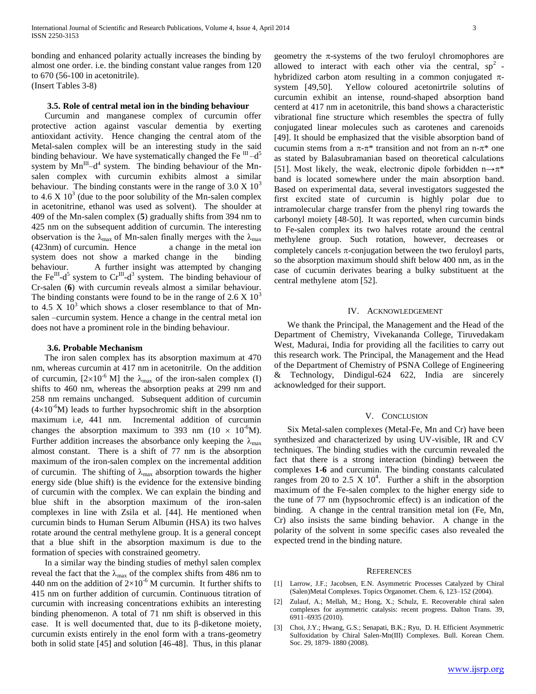bonding and enhanced polarity actually increases the binding by almost one order. i.e. the binding constant value ranges from 120 to 670 (56-100 in acetonitrile). (Insert Tables 3-8)

## **3.5. Role of central metal ion in the binding behaviour**

 Curcumin and manganese complex of curcumin offer protective action against vascular dementia by exerting antioxidant activity. Hence changing the central atom of the Metal-salen complex will be an interesting study in the said binding behaviour. We have systematically changed the Fe  $^{III}$ -d<sup>5</sup> system by  $Mn^{III} - d^4$  system. The binding behaviour of the Mnsalen complex with curcumin exhibits almost a similar behaviour. The binding constants were in the range of  $3.0 \times 10^3$ to 4.6 X  $10<sup>3</sup>$  (due to the poor solubility of the Mn-salen complex in acetonitrine, ethanol was used as solvent). The shoulder at 409 of the Mn-salen complex (**5**) gradually shifts from 394 nm to 425 nm on the subsequent addition of curcumin. The interesting observation is the  $\lambda_{\text{max}}$  of Mn-salen finally merges with the  $\lambda_{\text{max}}$ (423nm) of curcumin. Hence a change in the metal ion system does not show a marked change in the binding behaviour. A further insight was attempted by changing the Fe $^{III}$ -d<sup>5</sup> system to Cr<sup>III</sup>-d<sup>3</sup> system. The binding behaviour of Cr-salen (**6**) with curcumin reveals almost a similar behaviour. The binding constants were found to be in the range of  $2.6 \times 10^3$ to 4.5 X  $10<sup>3</sup>$  which shows a closer resemblance to that of Mnsalen –curcumin system. Hence a change in the central metal ion does not have a prominent role in the binding behaviour.

#### **3.6. Probable Mechanism**

 The iron salen complex has its absorption maximum at 470 nm, whereas curcumin at 417 nm in acetonitrile. On the addition of curcumin,  $[2\times10^{-6}$  M] the  $\lambda_{\text{max}}$  of the iron-salen complex (I) shifts to 460 nm, whereas the absorption peaks at 299 nm and 258 nm remains unchanged. Subsequent addition of curcumin  $(4\times10^{-6}M)$  leads to further hypsochromic shift in the absorption maximum i.e, 441 nm. Incremental addition of curcumin changes the absorption maximum to 393 nm ( $10 \times 10^{-6}$ M). Further addition increases the absorbance only keeping the  $\lambda_{\text{max}}$ almost constant. There is a shift of 77 nm is the absorption maximum of the iron-salen complex on the incremental addition of curcumin. The shifting of  $\lambda_{\text{max}}$  absorption towards the higher energy side (blue shift) is the evidence for the extensive binding of curcumin with the complex. We can explain the binding and blue shift in the absorption maximum of the iron-salen complexes in line with Zsila et al. [44]. He mentioned when curcumin binds to Human Serum Albumin (HSA) its two halves rotate around the central methylene group. It is a general concept that a blue shift in the absorption maximum is due to the formation of species with constrained geometry.

 In a similar way the binding studies of methyl salen complex reveal the fact that the  $\lambda_{\text{max}}$  of the complex shifts from 486 nm to 440 nm on the addition of  $2\times10^{-6}$  M curcumin. It further shifts to 415 nm on further addition of curcumin. Continuous titration of curcumin with increasing concentrations exhibits an interesting binding phenomenon. A total of 71 nm shift is observed in this case. It is well documented that, due to its β-diketone moiety, curcumin exists entirely in the enol form with a trans-geometry both in solid state [45] and solution [46-48]. Thus, in this planar

geometry the  $\pi$ -systems of the two feruloyl chromophores are allowed to interact with each other via the central,  $sp^2$  hybridized carbon atom resulting in a common conjugated  $\pi$ system [49,50]. Yellow coloured acetonirtrile solutins of curcumin exhibit an intense, round-shaped absorption band centerd at 417 nm in acetonitrile, this band shows a characteristic vibrational fine structure which resembles the spectra of fully conjugated linear molecules such as carotenes and carenoids [49]. It should be emphasized that the visible absorption band of cucumin stems from a  $\pi$ - $\pi$ <sup>\*</sup> transition and not from an n- $\pi$ <sup>\*</sup> one as stated by Balasubramanian based on theoretical calculations [51]. Most likely, the weak, electronic dipole forbidden  $n \rightarrow \pi^*$ band is located somewhere under the main absorption band. Based on experimental data, several investigators suggested the first excited state of curcumin is highly polar due to intramolecular charge transfer from the phenyl ring towards the carbonyl moiety [48-50]. It was reported, when curcumin binds to Fe-salen complex its two halves rotate around the central methylene group. Such rotation, however, decreases or completely cancels  $\pi$ -conjugation between the two feruloyl parts, so the absorption maximum should shift below 400 nm, as in the case of cucumin derivates bearing a bulky substituent at the central methylene atom [52].

### IV. ACKNOWLEDGEMENT

 We thank the Principal, the Management and the Head of the Department of Chemistry, Vivekananda College, Tiruvedakam West, Madurai, India for providing all the facilities to carry out this research work. The Principal, the Management and the Head of the Department of Chemistry of PSNA College of Engineering & Technology, Dindigul-624 622, India are sincerely acknowledged for their support.

#### V. CONCLUSION

 Six Metal-salen complexes (Metal-Fe, Mn and Cr) have been synthesized and characterized by using UV-visible, IR and CV techniques. The binding studies with the curcumin revealed the fact that there is a strong interaction (binding) between the complexes **1-6** and curcumin. The binding constants calculated ranges from 20 to 2.5  $\times$  10<sup>4</sup>. Further a shift in the absorption maximum of the Fe-salen complex to the higher energy side to the tune of 77 nm (hypsochromic effect) is an indication of the binding. A change in the central transition metal ion (Fe, Mn, Cr) also insists the same binding behavior. A change in the polarity of the solvent in some specific cases also revealed the expected trend in the binding nature.

#### **REFERENCES**

- [1] Larrow, J.F.; Jacobsen, E.N. Asymmetric Processes Catalyzed by Chiral (Salen)Metal Complexes. Topics Organomet. Chem. 6, 123–152 (2004).
- [2] Zulauf, A.; Mellah, M.; Hong, X.; Schulz, E. Recoverable chiral salen complexes for asymmetric catalysis: recent progress. Dalton Trans. 39, 6911–6935 (2010).
- [3] Choi, J.Y.; Hwang, G.S.; Senapati, B.K.; Ryu, D. H. Efficient Asymmetric Sulfoxidation by Chiral Salen-Mn(III) Complexes. Bull. Korean Chem. Soc. 29, 1879- 1880 (2008).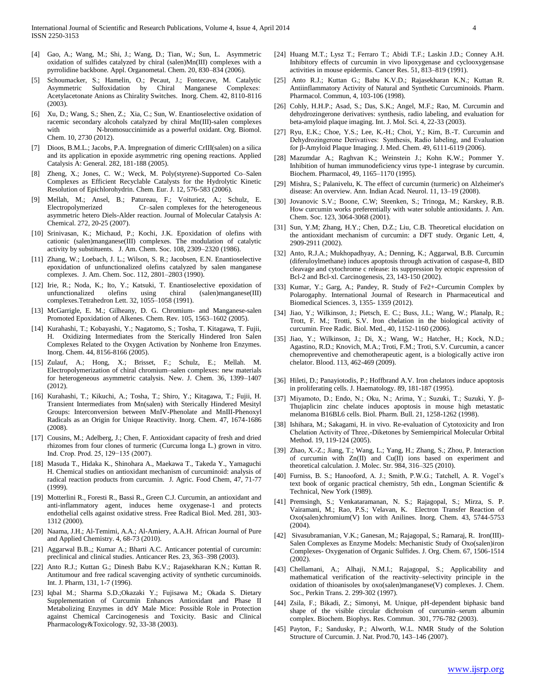- [4] Gao, A.; Wang, M.; Shi, J.; Wang, D.; Tian, W.; Sun, L. Asymmetric oxidation of sulfides catalyzed by chiral (salen)Mn(III) complexes with a pyrrolidine backbone. Appl. Organometal. Chem. 20, 830–834 (2006).
- [5] Schoumacker, S.; Hamelin, O.; Pecaut, J.; Fontecave, M. Catalytic Asymmetric Sulfoxidation by Chiral Manganese Complexes:  Acetylacetonate Anions as Chirality Switches. Inorg. Chem. 42, 8110-8116 (2003).
- [6] Xu, D.; Wang, S.; Shen, Z.; Xia, C.; Sun, W. Enantioselective oxidation of racemic secondary alcohols catalyzed by chiral Mn(III)-salen complexes with N-bromosuccinimide as a powerful oxidant. Org. Biomol. Chem. 10, 2730 (2012).
- [7] Dioos, B.M.L.; Jacobs, P.A. Impregnation of dimeric CrIII(salen) on a silica and its application in epoxide asymmetric ring opening reactions. Applied Catalysis A: General. 282, 181-188 (2005).
- Zheng, X.; Jones, C. W.; Weck, M. Poly(styrene)-Supported Co–Salen Complexes as Efficient Recyclable Catalysts for the Hydrolytic Kinetic Resolution of Epichlorohydrin. Chem. Eur. J. 12, 576-583 (2006).
- [9] Mellah, M.; Ansel, B.; Patureau, F.; Voituriez, A.; Schulz, E. Electropolymerized Cr–salen complexes for the heterogeneous asymmetric hetero Diels-Alder reaction. Journal of Molecular Catalysis A: Chemical. 272, 20-25 (2007).
- [10] Srinivasan, K.; Michaud, P.; Kochi, J.K. Epoxidation of olefins with cationic (salen)manganese(III) complexes. The modulation of catalytic activity by substituents. J. Am. Chem. Soc. 108, 2309–2320 (1986).
- [11] Zhang, W.; Loebach, J. L.; Wilson, S. R.; Jacobsen, E.N. Enantioselective epoxidation of unfunctionalized olefins catalyzed by salen manganese complexes. J. Am. Chem. Soc. 112, 2801–2803 (1990).
- [12] Irie, R.; Noda, K.; Ito, Y.; Katsuki, T. Enantioselective epoxidation of unfunctionalized olefins using chiral (salen)manganese(III) complexes.Tetrahedron Lett. 32, 1055–1058 (1991).
- [13] McGarrigle, E. M.; Gilheany, D. G. Chromium- and Manganese-salen Promoted Epoxidation of Alkenes. Chem. Rev. 105, 1563–1602 (2005).
- [14] Kurahashi, T.; Kobayashi, Y.; Nagatomo, S.; Tosha, T. Kitagawa, T. Fujii, H. Oxidizing Intermediates from the Sterically Hindered Iron Salen Complexes Related to the Oxygen Activation by Nonheme Iron Enzymes. Inorg. Chem. 44, 8156-8166 (2005).
- [15] Zulauf, A.; Hong, X.; Brisset, F.; Schulz, E.; Mellah. M. Electropolymerization of chiral chromium–salen complexes: new materials for heterogeneous asymmetric catalysis. New. J. Chem. 36, 1399–1407 (2012).
- [16] Kurahashi, T.; Kikuchi, A.; Tosha, T.; Shiro, Y.; Kitagawa, T.; Fujii, H. Transient Intermediates from Mn(salen) with Sterically Hindered Mesityl Groups: Interconversion between MnIV-Phenolate and MnIII-Phenoxyl Radicals as an Origin for Unique Reactivity. Inorg. Chem. 47, 1674-1686 (2008).
- [17] Cousins, M.; Adelberg, J.; Chen, F. Antioxidant capacity of fresh and dried rhizomes from four clones of turmeric (Curcuma longa L.) grown in vitro. Ind. Crop. Prod. 25, 129−135 (2007).
- [18] Masuda T., Hidaka K., Shinohara A., Maekawa T., Takeda Y., Yamaguchi H. Chemical studies on antioxidant mechanism of curcuminoid: analysis of radical reaction products from curcumin. J. Agric. Food Chem, 47, 71-77 (1999).
- [19] Motterlini R., Foresti R., Bassi R., Green C.J. Curcumin, an antioxidant and anti-inflammatory agent, induces heme oxygenase-1 and protects endothelial cells against oxidative stress. Free Radical Biol. Med. 281, 303- 1312 (2000).
- [20] Naama, J.H.; Al-Temimi, A.A.; Al-Amiery, A.A.H. African Journal of Pure and Applied Chemistry. 4, 68-73 (2010).
- [21] Aggarwal B.B.,; Kumar A.; Bharti A.C. Anticancer potential of curcumin: preclinical and clinical studies. Anticancer Res. 23, 363–398 (2003).
- [22] Anto R.J.; Kuttan G.; Dinesh Babu K.V.; Rajasekharan K.N.; Kuttan R. Antitumour and free radical scavenging activity of synthetic curcuminoids. Int. J. Pharm, 131, 1-7 (1996).
- [23] Iqbal M.; Sharma S.D.;Okazaki Y.; Fujisawa M.; Okada S. Dietary Supplementation of Curcumin Enhances Antioxidant and Phase II Metabolizing Enzymes in ddY Male Mice: Possible Role in Protection against Chemical Carcinogenesis and Toxicity. Basic and Clinical Pharmacology&Toxicology. 92, 33-38 (2003).
- [24] Huang M.T.; Lysz T.; Ferraro T.; Abidi T.F.; Laskin J.D.; Conney A.H. Inhibitory effects of curcumin in vivo lipoxygenase and cyclooxygensase activities in mouse epidermis. Cancer Res. 51, 813–819 (1991).
- [25] Anto R.J.; Kuttan G.; Babu K.V.D.; Rajasekharan K.N.; Kuttan R. Antiinflammatory Activity of Natural and Synthetic Curcuminoids. Pharm. Pharmacol. Commun, 4, 103-106 (1998).
- [26] Cohly, H.H.P.; Asad, S.; Das, S.K.; Angel, M.F.; Rao, M. Curcumin and dehydrozingerone derivatives: synthesis, radio labeling, and evaluation for beta-amyloid plaque imaging. Int. J. Mol. Sci. 4, 22-33 (2003).
- [27] Ryu, E.K.; Choe, Y.S.; Lee, K.-H.; Choi, Y.; Kim, B.-T. Curcumin and Dehydrozingerone Derivatives:  Synthesis, Radio labeling, and Evaluation for β-Amyloid Plaque Imaging. J. Med. Chem. 49, 6111-6119 (2006).
- [28] Mazumdar A.; Raghvan K.; Weinstein J.; Kohn K.W.; Pommer Y. Inhibition of human immunodeficiency virus type-1 integrase by curcumin. Biochem. Pharmacol, 49, 1165–1170 (1995).
- [29] Mishra, S.; Palanivelu, K. The effect of curcumin (turmeric) on Alzheimer's disease: An overview. Ann. Indian Acad. Neurol. 11, 13–19 (2008).
- [30] Jovanovic S.V.; Boone, C.W; Steenken, S.; Trinoga, M.; Karskey, R.B. How curcumin works preferentially with water soluble antioxidants. J. Am. Chem. Soc. 123, 3064-3068 (2001).
- [31] Sun, Y.M; Zhang, H.Y.; Chen, D.Z.; Liu, C.B. Theoretical elucidation on the antioxidant mechanism of curcumin: a DFT study. Organic Lett, 4, 2909-2911 (2002).
- [32] Anto, R.J.A.; Mukhopadhyay, A.; Denning, K.; Aggarwal, B.B. Curcumin (diferuloylmethane) induces apoptosis through activation of caspase-8, BID cleavage and cytochrome c release: its suppression by ectopic expression of Bcl-2 and Bcl-xl. Carcinogenesis, 23, 143-150 (2002).
- [33] Kumar, Y.; Garg, A.; Pandey, R. Study of Fe2+-Curcumin Complex by Polarogaphy. International Journal of Research in Pharmaceutical and Biomedical Sciences. 3, 1355- 1359 (2012).
- [34] Jiao, Y.; Wilkinson, J.; Pietsch, E. C.; Buss, J.L.; Wang, W.; Planalp, R.; Trott, F. M.; Trotti, S.V. Iron chelation in the biological activity of curcumin. Free Radic. Biol. Med., 40, 1152-1160 (2006).
- [35] Jiao, Y.; Wilkinson, J.; Di, X.; Wang, W.; Hatcher, H.; Kock, N.D.; Agastino, R.D.; Knovich, M.A.; Troti, F.M.; Troti, S.V. Curcumin, a cancer chemopreventive and chemotherapeutic agent, is a biologically active iron chelator. Blood. 113, 462-469 (2009).
- [36] Hileti, D.; Panayiotodis, P.; Hoffbrand A.V. Iron chelators induce apoptosis in proliferating cells. J. Haematology. 89, 181-187 (1995).
- [37] Miyamoto, D.; Endo, N.; Oku, N.; Arima, Y.; Suzuki, T.; Suzuki, Y. β-Thujaplicin zinc chelate induces apoptosis in mouse high metastatic melanoma B16BL6 cells. Biol. Pharm. Bull. 21, 1258-1262 (1998).
- [38] Ishihara, M.; Sakagami, H. in vivo. Re-evaluation of Cytotoxicity and Iron Chelation Activity of Three,-Diketones by Semiempirical Molecular Orbital Method. 19, 119-124 (2005).
- [39] Zhao, X.-Z.; Jiang, T.; Wang, L.; Yang, H.; Zhang, S.; Zhou, P. Interaction of curcumin with Zn(II) and Cu(II) ions based on experiment and theoretical calculation. J. Molec. Str. 984, 316–325 (2010).
- [40] Furniss, B. S.; Hanooford, A. J.; Smith, P.W.G.; Tatchell, A. R. Vogel's text book of organic practical chemistry, 5th edn., Longman Scientific & Technical, New York (1989).
- [41] Premsingh, S.; Venkataramanan, N. S.; Rajagopal, S.; Mirza, S. P. Vairamani, M.; Rao, P.S.; Velavan, K. Electron Transfer Reaction of Oxo(salen)chromium(V) Ion with Anilines. Inorg. Chem. 43, 5744-5753 (2004).
- [42] Sivasubramanian, V.K.; Ganesan, M.; Rajagopal, S.; Ramaraj, R. Iron(III)- Salen Complexes as Enzyme Models: Mechanistic Study of Oxo(salen)iron Complexes- Oxygenation of Organic Sulfides. J. Org. Chem. 67, 1506-1514 (2002).
- [43] Chellamani, A.; Alhaji, N.M.I.; Rajagopal, S.; Applicability and mathematical verification of the reactivity–selectivity principle in the oxidation of thioanisoles by oxo(salen)manganese(V) complexes. J. Chem. Soc., Perkin Trans. 2. 299-302 (1997).
- [44] Zsila, F.; Bikadi, Z.; Simonyi, M. Unique, pH-dependent biphasic band shape of the visible circular dichroism of curcumin–serum albumin complex. Biochem. Biophys. Res. Commun. 301, 776-782 (2003).
- [45] Payton, F.; Sandusky, P.; Alworth, W.L. NMR Study of the Solution Structure of Curcumin. J. Nat. Prod.70, 143–146 (2007).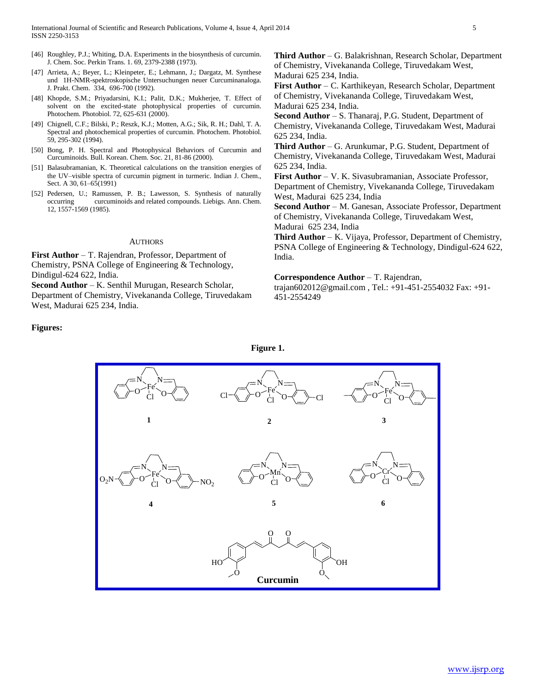- [46] Roughley, P.J.; Whiting, D.A. Experiments in the biosynthesis of curcumin. J. Chem. Soc. Perkin Trans. 1. 69, 2379-2388 (1973).
- [47] Arrieta, A.; Beyer, L.; Kleinpeter, E.; Lehmann, J.; Dargatz, M. Synthese und 1H-NMR-spektroskopische Untersuchungen neuer Curcuminanaloga. J. Prakt. Chem. 334, 696-700 (1992).
- [48] Khopde, S.M.; Priyadarsini, K.I.; Palit, D.K.; Mukherjee, T. Effect of solvent on the excited-state photophysical properties of curcumin. Photochem. Photobiol. 72, 625-631 (2000).
- [49] Chignell, C.F.; Bilski, P.; Reszk, K.J.; Motten, A.G.; Sik, R. H.; Dahl, T. A. Spectral and photochemical properties of curcumin. Photochem. Photobiol. 59, 295-302 (1994).
- [50] Bong, P. H. Spectral and Photophysical Behaviors of Curcumin and Curcuminoids. Bull. Korean. Chem. Soc. 21, 81-86 (2000).
- [51] Balasubramanian, K. Theoretical calculations on the transition energies of the UV–visible spectra of curcumin pigment in turmeric. Indian J. Chem., Sect. A 30, 61–65(1991)
- [52] Pedersen, U.; Ramussen, P. B.; Lawesson, S. Synthesis of naturally occurring curcuminoids and related compounds. Liebigs. Ann. Chem. 12, 1557-1569 (1985).

#### AUTHORS

**First Author** – T. Rajendran, Professor, Department of Chemistry, PSNA College of Engineering & Technology, Dindigul-624 622, India.

**Second Author** – K. Senthil Murugan, Research Scholar,

Department of Chemistry, Vivekananda College, Tiruvedakam West, Madurai 625 234, India.

# **Figures:**

**Third Author** – G. Balakrishnan, Research Scholar, Department of Chemistry, Vivekananda College, Tiruvedakam West, Madurai 625 234, India.

**First Author** – C. Karthikeyan, Research Scholar, Department of Chemistry, Vivekananda College, Tiruvedakam West, Madurai 625 234, India.

**Second Author** – S. Thanaraj, P.G. Student, Department of Chemistry, Vivekananda College, Tiruvedakam West, Madurai 625 234, India.

**Third Author** – G. Arunkumar, P.G. Student, Department of Chemistry, Vivekananda College, Tiruvedakam West, Madurai 625 234, India.

**First Author** – V. K. Sivasubramanian, Associate Professor, Department of Chemistry, Vivekananda College, Tiruvedakam West, Madurai 625 234, India

**Second Author** – M. Ganesan, Associate Professor, Department of Chemistry, Vivekananda College, Tiruvedakam West, Madurai 625 234, India

**Third Author** – K. Vijaya, Professor, Department of Chemistry, PSNA College of Engineering & Technology, Dindigul-624 622, India.

#### **Correspondence Author** – T. Rajendran,

trajan602012@gmail.com , Tel.: +91-451-2554032 Fax: +91- 451-2554249



**Figure 1.**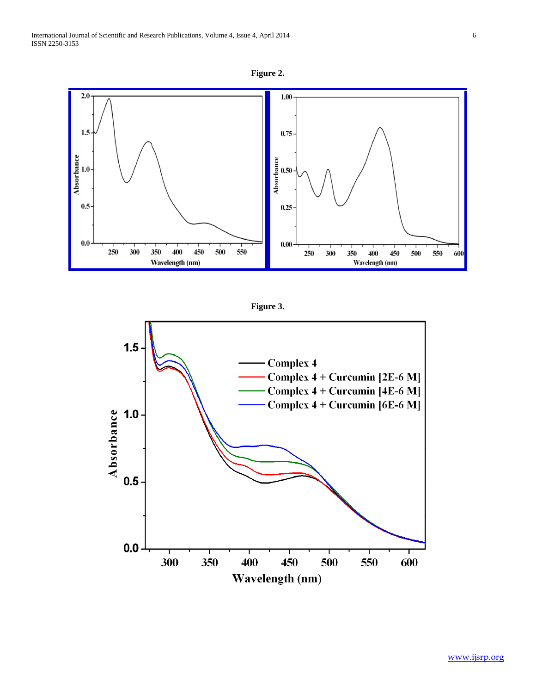International Journal of Scientific and Research Publications, Volume 4, Issue 4, April 2014 6 ISSN 2250-3153







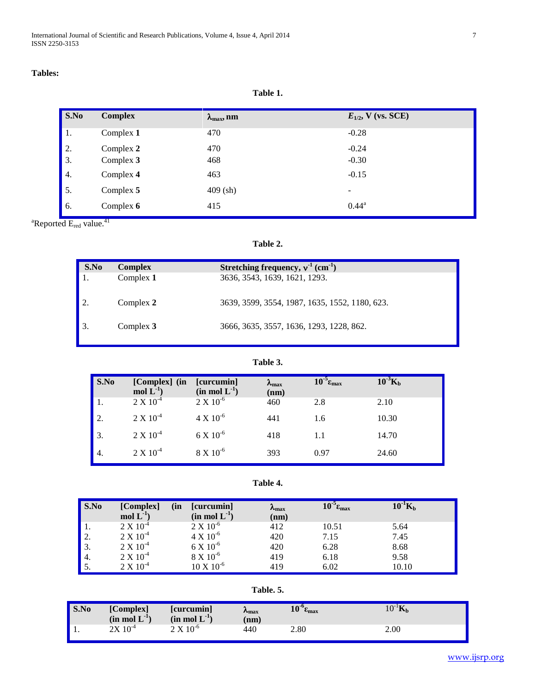| $\vert$ S.No     | <b>Complex</b> | $\lambda_{\max}$ , nm | $E_{1/2}$ , V (vs. SCE) |
|------------------|----------------|-----------------------|-------------------------|
|                  | Complex 1      | 470                   | $-0.28$                 |
| $\vert$ 2.       | Complex 2      | 470                   | $-0.24$                 |
| $\vert 3. \vert$ | Complex 3      | 468                   | $-0.30$                 |
| $\vert 4.$       | Complex 4      | 463                   | $-0.15$                 |
| $\vert 5. \vert$ | Complex 5      | $409$ (sh)            | -                       |
| $\vert$ 6.       | Complex 6      | 415                   | $0.44^{\rm a}$          |

 ${}^{a}$ Reported  $E_{red}$  value. ${}^{41}$ 

**Table 2.**

| S.No | <b>Complex</b> | Stretching frequency, $v^{-1}$ (cm <sup>-1</sup> ) |
|------|----------------|----------------------------------------------------|
|      | Complex 1      | 3636, 3543, 1639, 1621, 1293.                      |
|      | Complex 2      | 3639, 3599, 3554, 1987, 1635, 1552, 1180, 623.     |
|      | Complex $3$    | 3666, 3635, 3557, 1636, 1293, 1228, 862.           |

**Table 3.**

| S.No | [Complex] (in<br>mol $L^{-1}$ ) | [curcumin]<br>$(in \text{ mol } L^{-1})$ | $\lambda_{\text{max}}$<br>(nm) | $10^{-5} \epsilon_{\text{max}}$ | $10^{3}$ K <sub>b</sub> |
|------|---------------------------------|------------------------------------------|--------------------------------|---------------------------------|-------------------------|
|      | $2 X 10^{-4}$                   | $2 X 10^{-6}$                            | 460                            | 2.8                             | 2.10                    |
| 2.   | $2 X 10^{-4}$                   | $4 \times 10^{-6}$                       | 441                            | 1.6                             | 10.30                   |
| 3.   | $2 X 10^{-4}$                   | $6 X 10^{-6}$                            | 418                            | 1.1                             | 14.70                   |
| 4.   | $2 X 10^{-4}$                   | $8 X 10^{-6}$                            | 393                            | 0.97                            | 24.60                   |

**Table 4.**

| S.No | [Complex]<br>(in<br>mol $L^{-1}$ ) | [curcumin]<br>$(in \text{ mol } L^{-1})$ | $\lambda_{\rm max}$<br>(nm) | $10^{-5} \epsilon_{\rm max}$ | $10^{-1} \text{K}_{\text{b}}$ |
|------|------------------------------------|------------------------------------------|-----------------------------|------------------------------|-------------------------------|
|      | $2 \times 10^{-4}$                 | $2 X 10^{-6}$                            | 412                         | 10.51                        | 5.64                          |
| 2.   | $2 \times 10^{-4}$                 | $4 \times 10^{-6}$                       | 420                         | 7.15                         | 7.45                          |
| 3.   | $2 X 10^{-4}$                      | $6 X 10^{-6}$                            | 420                         | 6.28                         | 8.68                          |
| 4.   | $2 X 10^{-4}$                      | $8 X 10^{-6}$                            | 419                         | 6.18                         | 9.58                          |
|      | $2 \times 10^{-4}$                 | $10 \times 10^{-6}$                      | 419                         | 6.02                         | 10.10                         |

**Table. 5.**

| S.No | [Complex]<br>$(in \mod L^{-1})$ | <b>l</b> curcumin<br>$(in \text{ mol } L^{-1})$ | $\mathcal{N}_{\max}$<br>(nm) | $\sim$ 0<br>1V<br>$c_{\rm max}$ | ידו-∩ו<br>1U.<br>$\mathbf{n}_b$ |
|------|---------------------------------|-------------------------------------------------|------------------------------|---------------------------------|---------------------------------|
| . .  | $\cdot 10^{-4}$<br>2X           | $2 \text{ X } 10^{\degree}$                     | 440                          | 2.80                            | 2.00                            |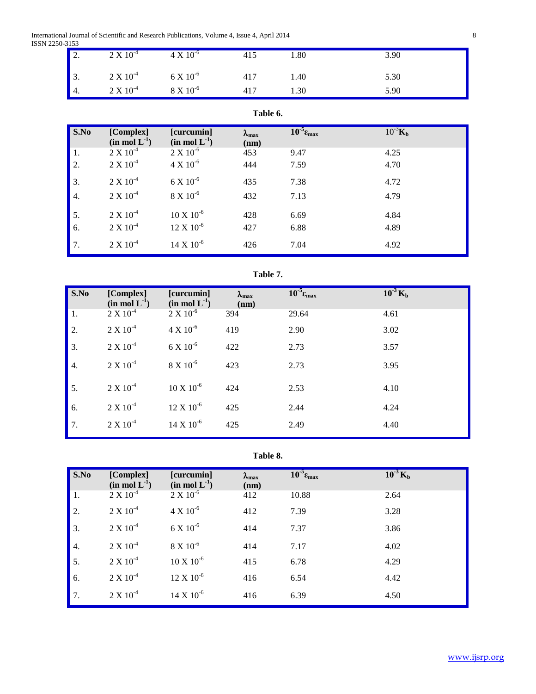International Journal of Scientific and Research Publications, Volume 4, Issue 4, April 2014 8 ISSN 2250-3153

| ---- | $\blacksquare$ 2. | $2 \times 10^{-4}$ | $4 \times 10^{-6}$ | 415 | .80  | 3.90 |
|------|-------------------|--------------------|--------------------|-----|------|------|
|      | $\vert$ 3.        | $2 \times 10^{-4}$ | $6 X 10^{-6}$      | 417 | 1.40 | 5.30 |
|      | $\blacksquare$ 4. | $2 X 10^{-4}$      | $8 \times 10^{-6}$ | 417 | 1.30 | 5.90 |

# **Table 6.**

| S.No | [Complex]<br>$(in \mod L^{-1})$ | [curcumin]<br>$(in \mod L^{-1})$ | $\lambda_{\text{max}}$<br>(nm) | $10^{-5} \epsilon_{\text{max}}$ | $10^{-3}$ K <sub>b</sub> |
|------|---------------------------------|----------------------------------|--------------------------------|---------------------------------|--------------------------|
| 1.   | $2 X 10^{-4}$                   | $2 X 10^{-6}$                    | 453                            | 9.47                            | 4.25                     |
| 2.   | $2 X 10^{-4}$                   | $4 X 10^{-6}$                    | 444                            | 7.59                            | 4.70                     |
| 3.   | $2 X 10^{-4}$                   | $6 X 10^{-6}$                    | 435                            | 7.38                            | 4.72                     |
| 4.   | $2 X 10^{-4}$                   | $8 X 10^{-6}$                    | 432                            | 7.13                            | 4.79                     |
| 5.   | $2 X 10^{-4}$                   | $10 \text{ X} 10^{-6}$           | 428                            | 6.69                            | 4.84                     |
| 6.   | $2 X 10^{-4}$                   | $12 \times 10^{-6}$              | 427                            | 6.88                            | 4.89                     |
| 7.   | $2 X 10^{-4}$                   | $14 \times 10^{-6}$              | 426                            | 7.04                            | 4.92                     |

# **Table 7.**

| S.No             | [Complex]<br>$(in \text{ mol } L^{-1})$ | [curcumin]<br>$(in \text{ mol } L^{-1})$ | $\lambda_{\text{max}}$<br>(nm) | $10^{-5} \epsilon_{\text{max}}$ | $10^{-3}$ K <sub>b</sub> |
|------------------|-----------------------------------------|------------------------------------------|--------------------------------|---------------------------------|--------------------------|
| 1.               | $2 X 10^{-4}$                           | $2 X 10^{-6}$                            | 394                            | 29.64                           | 4.61                     |
| 2.               | $2 X 10^{-4}$                           | $4 \times 10^{-6}$                       | 419                            | 2.90                            | 3.02                     |
| 3.               | $2 X 10^{-4}$                           | $6 X 10^{-6}$                            | 422                            | 2.73                            | 3.57                     |
| $\overline{4}$ . | $2 X 10^{-4}$                           | $8 \times 10^{-6}$                       | 423                            | 2.73                            | 3.95                     |
| 5.               | $2 X 10^{-4}$                           | $10 \text{ X} 10^{-6}$                   | 424                            | 2.53                            | 4.10                     |
| 6.               | $2 X 10^{-4}$                           | $12 X 10^{-6}$                           | 425                            | 2.44                            | 4.24                     |
| 7.               | $2 X 10^{-4}$                           | $14 \times 10^{-6}$                      | 425                            | 2.49                            | 4.40                     |

# **Table 8.**

| S.No | [Complex]<br>$(in \text{ mol } L^{-1})$ | [curcumin]<br>$(in \mod L^{-1})$ | $\lambda_{\text{max}}$<br>(nm) | $10^{-5} \epsilon_{\text{max}}$ | $10^{-3}$ K <sub>b</sub> |
|------|-----------------------------------------|----------------------------------|--------------------------------|---------------------------------|--------------------------|
| 1.   | $2 X 10^{-4}$                           | $2 X 10^{-6}$                    | 412                            | 10.88                           | 2.64                     |
| 2.   | $2 X 10^{-4}$                           | $4 \times 10^{-6}$               | 412                            | 7.39                            | 3.28                     |
| 3.   | $2 X 10^{-4}$                           | $6 X 10^{-6}$                    | 414                            | 7.37                            | 3.86                     |
| 4.   | $2 X 10^{-4}$                           | $8 X 10^{-6}$                    | 414                            | 7.17                            | 4.02                     |
| 5.   | $2 X 10^{-4}$                           | $10 X 10^{-6}$                   | 415                            | 6.78                            | 4.29                     |
| 6.   | $2 X 10^{-4}$                           | $12 \times 10^{-6}$              | 416                            | 6.54                            | 4.42                     |
| 7.   | $2 X 10^{-4}$                           | $14 \times 10^{-6}$              | 416                            | 6.39                            | 4.50                     |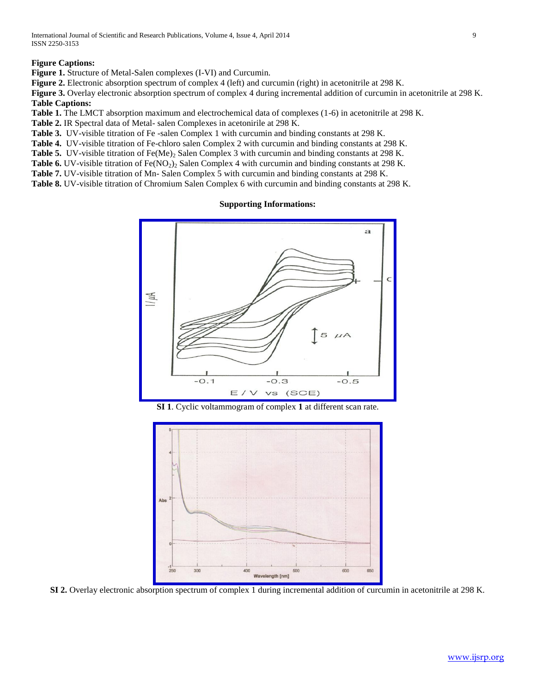# **Figure Captions:**

**Figure 1.** Structure of Metal-Salen complexes (I-VI) and Curcumin.

**Figure 2.** Electronic absorption spectrum of complex 4 (left) and curcumin (right) in acetonitrile at 298 K.

Figure 3. Overlay electronic absorption spectrum of complex 4 during incremental addition of curcumin in acetonitrile at 298 K. **Table Captions:**

**Table 1.** The LMCT absorption maximum and electrochemical data of complexes (1-6) in acetonitrile at 298 K.

**Table 2.** IR Spectral data of Metal- salen Complexes in acetonirile at 298 K.

**Table 3.** UV-visible titration of Fe -salen Complex 1 with curcumin and binding constants at 298 K.

**Table 4.** UV-visible titration of Fe-chloro salen Complex 2 with curcumin and binding constants at 298 K.

Table 5. UV-visible titration of Fe(Me)<sub>2</sub> Salen Complex 3 with curcumin and binding constants at 298 K.

**Table 6.** UV-visible titration of  $Fe(NO<sub>2</sub>)<sub>2</sub>$  Salen Complex 4 with curcumin and binding constants at 298 K.

**Table 7.** UV-visible titration of Mn- Salen Complex 5 with curcumin and binding constants at 298 K.

**Table 8.** UV-visible titration of Chromium Salen Complex 6 with curcumin and binding constants at 298 K.

# **Supporting Informations:**



**SI 1**. Cyclic voltammogram of complex **1** at different scan rate.



**SI 2.** Overlay electronic absorption spectrum of complex 1 during incremental addition of curcumin in acetonitrile at 298 K.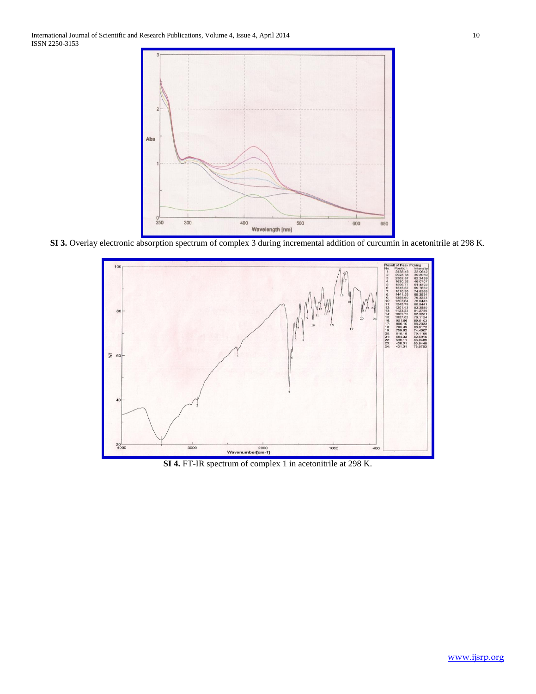

SI 3. Overlay electronic absorption spectrum of complex 3 during incremental addition of curcumin in acetonitrile at 298 K.



**SI 4.** FT-IR spectrum of complex 1 in acetonitrile at 298 K.